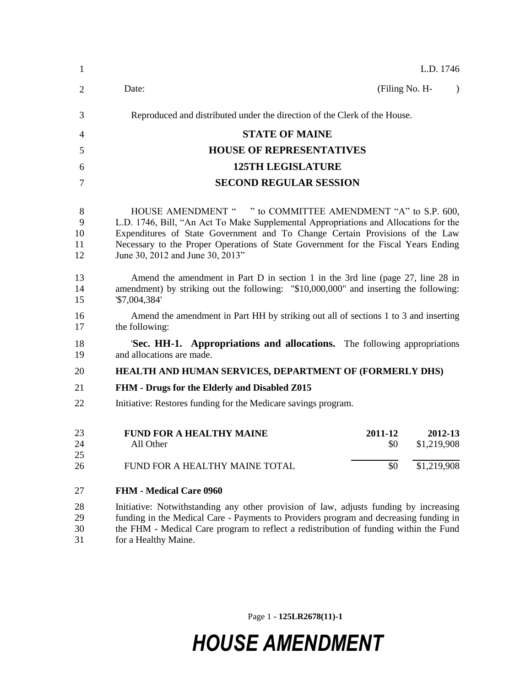| 1                        | L.D. 1746                                                                                                                                                                                                                                                                                                                                                     |  |  |
|--------------------------|---------------------------------------------------------------------------------------------------------------------------------------------------------------------------------------------------------------------------------------------------------------------------------------------------------------------------------------------------------------|--|--|
| 2                        | Date:<br>(Filing No. H-<br>$\lambda$                                                                                                                                                                                                                                                                                                                          |  |  |
| 3                        | Reproduced and distributed under the direction of the Clerk of the House.                                                                                                                                                                                                                                                                                     |  |  |
| 4                        | <b>STATE OF MAINE</b>                                                                                                                                                                                                                                                                                                                                         |  |  |
| 5                        | <b>HOUSE OF REPRESENTATIVES</b>                                                                                                                                                                                                                                                                                                                               |  |  |
| 6                        | <b>125TH LEGISLATURE</b>                                                                                                                                                                                                                                                                                                                                      |  |  |
| 7                        | <b>SECOND REGULAR SESSION</b>                                                                                                                                                                                                                                                                                                                                 |  |  |
| 8<br>9<br>10<br>11<br>12 | HOUSE AMENDMENT " " to COMMITTEE AMENDMENT "A" to S.P. 600,<br>L.D. 1746, Bill, "An Act To Make Supplemental Appropriations and Allocations for the<br>Expenditures of State Government and To Change Certain Provisions of the Law<br>Necessary to the Proper Operations of State Government for the Fiscal Years Ending<br>June 30, 2012 and June 30, 2013" |  |  |
| 13<br>14<br>15           | Amend the amendment in Part D in section 1 in the 3rd line (page 27, line 28 in<br>amendment) by striking out the following: "\$10,000,000" and inserting the following:<br>'\$7,004,384'                                                                                                                                                                     |  |  |
| 16<br>17                 | Amend the amendment in Part HH by striking out all of sections 1 to 3 and inserting<br>the following:                                                                                                                                                                                                                                                         |  |  |
| 18<br>19                 | Sec. HH-1. Appropriations and allocations. The following appropriations<br>and allocations are made.                                                                                                                                                                                                                                                          |  |  |
| 20                       | HEALTH AND HUMAN SERVICES, DEPARTMENT OF (FORMERLY DHS)                                                                                                                                                                                                                                                                                                       |  |  |
| 21                       | FHM - Drugs for the Elderly and Disabled Z015                                                                                                                                                                                                                                                                                                                 |  |  |
| 22                       | Initiative: Restores funding for the Medicare savings program.                                                                                                                                                                                                                                                                                                |  |  |
| 23<br>24<br>25<br>26     | <b>FUND FOR A HEALTHY MAINE</b><br>2011-12<br>2012-13<br>All Other<br>\$1,219,908<br>\$0<br>\$1,219,908<br>\$0<br>FUND FOR A HEALTHY MAINE TOTAL                                                                                                                                                                                                              |  |  |
|                          |                                                                                                                                                                                                                                                                                                                                                               |  |  |
| 27                       | <b>FHM - Medical Care 0960</b>                                                                                                                                                                                                                                                                                                                                |  |  |
| 28<br>29<br>30<br>31     | Initiative: Notwithstanding any other provision of law, adjusts funding by increasing<br>funding in the Medical Care - Payments to Providers program and decreasing funding in<br>the FHM - Medical Care program to reflect a redistribution of funding within the Fund<br>for a Healthy Maine.                                                               |  |  |

Page 1 **- 125LR2678(11)-1**

# *HOUSE AMENDMENT*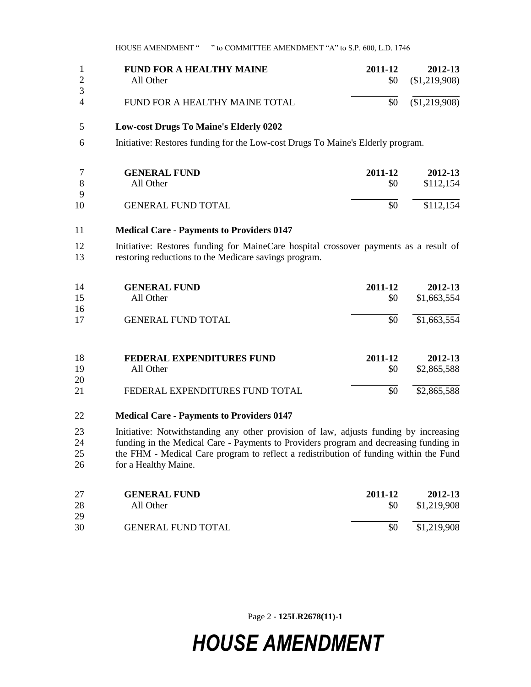HOUSE AMENDMENT " " to COMMITTEE AMENDMENT "A" to S.P. 600, L.D. 1746

| 2                   | <b>FUND FOR A HEALTHY MAINE</b><br>All Other  | 2011-12<br>\$0 | 2012-13<br>(\$1,219,908) |
|---------------------|-----------------------------------------------|----------------|--------------------------|
| 3<br>$\overline{4}$ | FUND FOR A HEALTHY MAINE TOTAL                | \$0            | \$1,219,908              |
| 5                   | <b>Low-cost Drugs To Maine's Elderly 0202</b> |                |                          |

Initiative: Restores funding for the Low-cost Drugs To Maine's Elderly program.

|    | <b>GENERAL FUND</b>       | 2011-12 | 2012-13   |
|----|---------------------------|---------|-----------|
|    | All Other                 | \$0     | \$112,154 |
| Q  |                           |         |           |
| 10 | <b>GENERAL FUND TOTAL</b> | \$0     | \$112,154 |

#### **Medical Care - Payments to Providers 0147**

 Initiative: Restores funding for MaineCare hospital crossover payments as a result of restoring reductions to the Medicare savings program.

| 14<br>15       | <b>GENERAL FUND</b><br>All Other              | 2011-12<br>\$0 | 2012-13<br>\$1,663,554 |
|----------------|-----------------------------------------------|----------------|------------------------|
| 16<br>17       | <b>GENERAL FUND TOTAL</b>                     | \$0            | \$1,663,554            |
|                |                                               |                |                        |
| 18<br>19<br>20 | <b>FEDERAL EXPENDITURES FUND</b><br>All Other | 2011-12<br>\$0 | 2012-13<br>\$2,865,588 |
| 21             | FEDERAL EXPENDITURES FUND TOTAL               | \$0            | \$2,865,588            |

### **Medical Care - Payments to Providers 0147**

 Initiative: Notwithstanding any other provision of law, adjusts funding by increasing 24 funding in the Medical Care - Payments to Providers program and decreasing funding in<br>25 the FHM - Medical Care program to reflect a redistribution of funding within the Fund the FHM - Medical Care program to reflect a redistribution of funding within the Fund for a Healthy Maine.

| 27 | <b>GENERAL FUND</b>       | 2011-12 | 2012-13     |
|----|---------------------------|---------|-------------|
| 28 | All Other                 | \$0     | \$1,219,908 |
| 29 |                           |         |             |
| 30 | <b>GENERAL FUND TOTAL</b> | \$0     | \$1,219,908 |

Page 2 **- 125LR2678(11)-1**

## *HOUSE AMENDMENT*